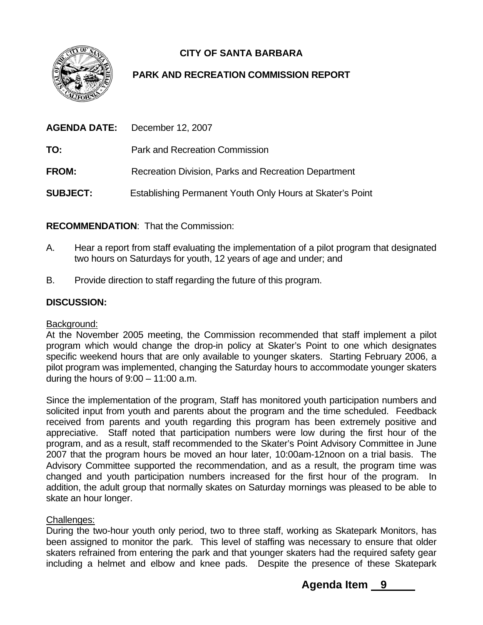# **CITY OF SANTA BARBARA**

## **PARK AND RECREATION COMMISSION REPORT**

|                 | <b>AGENDA DATE:</b> December 12, 2007                     |
|-----------------|-----------------------------------------------------------|
| TO:             | <b>Park and Recreation Commission</b>                     |
| <b>FROM:</b>    | Recreation Division, Parks and Recreation Department      |
| <b>SUBJECT:</b> | Establishing Permanent Youth Only Hours at Skater's Point |

**RECOMMENDATION**: That the Commission:

- A. Hear a report from staff evaluating the implementation of a pilot program that designated two hours on Saturdays for youth, 12 years of age and under; and
- B. Provide direction to staff regarding the future of this program.

## **DISCUSSION:**

### Background:

At the November 2005 meeting, the Commission recommended that staff implement a pilot program which would change the drop-in policy at Skater's Point to one which designates specific weekend hours that are only available to younger skaters. Starting February 2006, a pilot program was implemented, changing the Saturday hours to accommodate younger skaters during the hours of  $9:00 - 11:00$  a.m.

Since the implementation of the program, Staff has monitored youth participation numbers and solicited input from youth and parents about the program and the time scheduled. Feedback received from parents and youth regarding this program has been extremely positive and appreciative. Staff noted that participation numbers were low during the first hour of the program, and as a result, staff recommended to the Skater's Point Advisory Committee in June 2007 that the program hours be moved an hour later, 10:00am-12noon on a trial basis. The Advisory Committee supported the recommendation, and as a result, the program time was changed and youth participation numbers increased for the first hour of the program. In addition, the adult group that normally skates on Saturday mornings was pleased to be able to skate an hour longer.

### Challenges:

During the two-hour youth only period, two to three staff, working as Skatepark Monitors, has been assigned to monitor the park. This level of staffing was necessary to ensure that older skaters refrained from entering the park and that younger skaters had the required safety gear including a helmet and elbow and knee pads. Despite the presence of these Skatepark

# **Agenda Item 9**